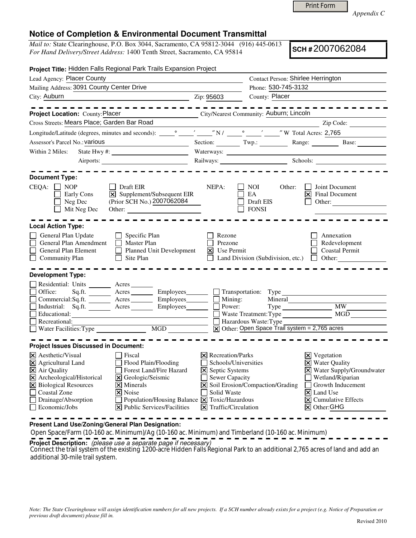Print Form

*Appendix C* 

## **Notice of Completion & Environmental Document Transmittal**

*Mail to:* State Clearinghouse, P.O. Box 3044, Sacramento, CA 95812-3044 (916) 445-0613 *For Hand Delivery/Street Address:* 1400 Tenth Street, Sacramento, CA 95814

**SCH #** 2007062084

| Project Title: Hidden Falls Regional Park Trails Expansion Project                                                                                                                                                                                                                                                                                                                                                                                                                         |                                                                                                                                                               |                                                                                                 |                                                                                                                                                                                                          |
|--------------------------------------------------------------------------------------------------------------------------------------------------------------------------------------------------------------------------------------------------------------------------------------------------------------------------------------------------------------------------------------------------------------------------------------------------------------------------------------------|---------------------------------------------------------------------------------------------------------------------------------------------------------------|-------------------------------------------------------------------------------------------------|----------------------------------------------------------------------------------------------------------------------------------------------------------------------------------------------------------|
| Lead Agency: Placer County                                                                                                                                                                                                                                                                                                                                                                                                                                                                 |                                                                                                                                                               | Contact Person: Shirlee Herrington                                                              |                                                                                                                                                                                                          |
| Mailing Address: 3091 County Center Drive                                                                                                                                                                                                                                                                                                                                                                                                                                                  |                                                                                                                                                               | Phone: 530-745-3132                                                                             |                                                                                                                                                                                                          |
| City: Auburn<br><u>2ip: 95603</u>                                                                                                                                                                                                                                                                                                                                                                                                                                                          |                                                                                                                                                               | County: Placer                                                                                  |                                                                                                                                                                                                          |
|                                                                                                                                                                                                                                                                                                                                                                                                                                                                                            |                                                                                                                                                               |                                                                                                 |                                                                                                                                                                                                          |
| City/Nearest Community: Auburn; Lincoln<br>Project Location: County: Placer                                                                                                                                                                                                                                                                                                                                                                                                                |                                                                                                                                                               |                                                                                                 |                                                                                                                                                                                                          |
| Cross Streets: Mears Place; Garden Bar Road                                                                                                                                                                                                                                                                                                                                                                                                                                                |                                                                                                                                                               |                                                                                                 | Zip Code:                                                                                                                                                                                                |
| Longitude/Latitude (degrees, minutes and seconds): very will be very will be very will be very will be very will be very will be very will be very will be very will be very will be very will be very will be very will be ve                                                                                                                                                                                                                                                             |                                                                                                                                                               |                                                                                                 |                                                                                                                                                                                                          |
| Assessor's Parcel No.: various<br><u> 1989 - Johann Barbara, martxa eta politikar</u>                                                                                                                                                                                                                                                                                                                                                                                                      |                                                                                                                                                               |                                                                                                 | Section: Twp.: Twp.: Range: Base:                                                                                                                                                                        |
| Within 2 Miles:                                                                                                                                                                                                                                                                                                                                                                                                                                                                            |                                                                                                                                                               |                                                                                                 |                                                                                                                                                                                                          |
|                                                                                                                                                                                                                                                                                                                                                                                                                                                                                            |                                                                                                                                                               |                                                                                                 | Railways: Schools: Schools:                                                                                                                                                                              |
| <b>Document Type:</b><br>$CEQA: \Box NP$<br>Draft EIR<br>$\vert \overline{\mathbf{x}} \vert$ Supplement/Subsequent EIR<br>Early Cons<br>(Prior SCH No.) 2007062084<br>Neg Dec                                                                                                                                                                                                                                                                                                              | NEPA:                                                                                                                                                         | NOI<br>Other:<br>EA<br>Draft EIS                                                                | Joint Document<br>$ \mathsf{X} $ Final Document<br>Other:                                                                                                                                                |
| Mit Neg Dec                                                                                                                                                                                                                                                                                                                                                                                                                                                                                |                                                                                                                                                               | <b>FONSI</b>                                                                                    |                                                                                                                                                                                                          |
| <b>Local Action Type:</b>                                                                                                                                                                                                                                                                                                                                                                                                                                                                  |                                                                                                                                                               |                                                                                                 |                                                                                                                                                                                                          |
| General Plan Update<br>$\Box$ Specific Plan<br>$\Box$ Master Plan<br>General Plan Amendment<br>Planned Unit Development<br>General Plan Element<br>Community Plan<br>$\Box$ Site Plan                                                                                                                                                                                                                                                                                                      | Rezone<br>Prezone<br>$\vert \mathsf{X} \vert$ Use Permit                                                                                                      |                                                                                                 | Annexation<br>Redevelopment<br><b>Coastal Permit</b><br>Land Division (Subdivision, etc.) $\Box$ Other:                                                                                                  |
| <b>Development Type:</b>                                                                                                                                                                                                                                                                                                                                                                                                                                                                   |                                                                                                                                                               |                                                                                                 |                                                                                                                                                                                                          |
| Residential: Units ________ Acres _______<br>Sq.ft. _________ Acres __________ Employees_________ ____ Transportation: Type<br>Office:<br>Commercial:Sq.ft. <u>Acres</u> Acres Employees<br>Industrial: Sq.ft. _______ Acres _______ Employees ______ __ Power:<br>Educational: $\qquad \qquad \qquad$<br>Recreational:                                                                                                                                                                    | $\overline{\Box}$ Mining:<br>$\overline{\Box}$ Power:                                                                                                         | Mineral<br>Hazardous Waste: Type<br>$\overline{X}$ Other: Open Space Trail system = 2,765 acres | Type MW_<br>Waste Treatment: Type MGD                                                                                                                                                                    |
| <b>Project Issues Discussed in Document:</b>                                                                                                                                                                                                                                                                                                                                                                                                                                               |                                                                                                                                                               |                                                                                                 |                                                                                                                                                                                                          |
| $ \mathsf{X} $ Aesthetic/Visual<br>Fiscal<br>$\times$ Agricultural Land<br>Flood Plain/Flooding<br>$\Xi$ Air Quality<br>Forest Land/Fire Hazard<br>X Archeological/Historical<br><b>X</b> Geologic/Seismic<br>X Biological Resources<br>$\overline{\mathsf{x}}$ Minerals<br><b>Coastal Zone</b><br>$ \mathsf{X} $ Noise<br>Drainage/Absorption<br>Population/Housing Balance $\boxed{\mathsf{X}}$ Toxic/Hazardous<br>$ \mathbf{\overline{X}} $ Public Services/Facilities<br>Economic/Jobs | $\times$ Recreation/Parks<br>Schools/Universities<br>$\Xi$ Septic Systems<br><b>Sewer Capacity</b><br>Solid Waste<br>$\boxed{\mathsf{X}}$ Traffic/Circulation | X Soil Erosion/Compaction/Grading                                                               | $\boxtimes$ Vegetation<br>X Water Quality<br>X Water Supply/Groundwater<br>Wetland/Riparian<br>Growth Inducement<br>$\vert\mathsf{X}\vert$ Land Use<br>$ \mathsf{x} $ Cumulative Effects<br>X Other: GHG |

**Present Land Use/Zoning/General Plan Designation:**

Open Space/Farm (10-160 ac. Minimum)/Ag (10-160 ac. Minimum) and Timberland (10-160 ac. Minimum)

**Project Description:** (please use a separate page if necessary)

 Connect the trail system of the existing 1200-acre Hidden Falls Regional Park to an additional 2,765 acres of land and add an additional 30-mile trail system.